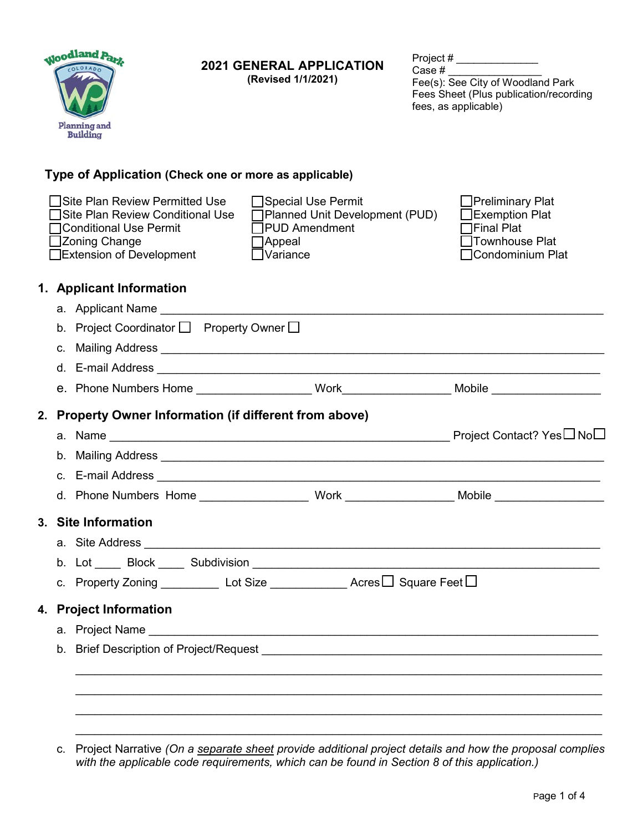|    | Moodland Park<br>Planning and<br><b>Building</b>                                                                                                  | <b>2021 GENERAL APPLICATION</b><br>(Revised 1/1/2021)                                                                                                                                                                                | Case # | Project # __________________<br>Fee(s): See City of Woodland Park<br>Fees Sheet (Plus publication/recording<br>fees, as applicable) |
|----|---------------------------------------------------------------------------------------------------------------------------------------------------|--------------------------------------------------------------------------------------------------------------------------------------------------------------------------------------------------------------------------------------|--------|-------------------------------------------------------------------------------------------------------------------------------------|
|    | Type of Application (Check one or more as applicable)                                                                                             |                                                                                                                                                                                                                                      |        |                                                                                                                                     |
|    | Site Plan Review Permitted Use<br>Site Plan Review Conditional Use<br><b>Conditional Use Permit</b><br>□Zoning Change<br>Extension of Development | □Special Use Permit<br>□ Planned Unit Development (PUD)<br>□PUD Amendment<br>$\Box$ Appeal<br>$\Box$ Variance                                                                                                                        |        | □Preliminary Plat<br>$\Box$ Exemption Plat<br>□Final Plat<br>Townhouse Plat<br>□Condominium Plat                                    |
|    | 1. Applicant Information                                                                                                                          |                                                                                                                                                                                                                                      |        |                                                                                                                                     |
|    |                                                                                                                                                   | a. Applicant Name and the control of the control of the control of the control of the control of the control of the control of the control of the control of the control of the control of the control of the control of the c       |        |                                                                                                                                     |
|    | b. Project Coordinator □ Property Owner □                                                                                                         |                                                                                                                                                                                                                                      |        |                                                                                                                                     |
| C. |                                                                                                                                                   | Mailing Address <b>William School School School School School School School School School School School School School School School School School School School School School School School School School School School School S</b> |        |                                                                                                                                     |
|    |                                                                                                                                                   |                                                                                                                                                                                                                                      |        |                                                                                                                                     |
|    |                                                                                                                                                   |                                                                                                                                                                                                                                      |        |                                                                                                                                     |
|    | 2. Property Owner Information (if different from above)                                                                                           |                                                                                                                                                                                                                                      |        |                                                                                                                                     |
|    |                                                                                                                                                   |                                                                                                                                                                                                                                      |        |                                                                                                                                     |
| b. |                                                                                                                                                   |                                                                                                                                                                                                                                      |        |                                                                                                                                     |
|    |                                                                                                                                                   |                                                                                                                                                                                                                                      |        |                                                                                                                                     |
|    | d. Phone Numbers Home                                                                                                                             |                                                                                                                                                                                                                                      |        | Work Mobile Mobile                                                                                                                  |
|    | 3. Site Information                                                                                                                               |                                                                                                                                                                                                                                      |        |                                                                                                                                     |
|    |                                                                                                                                                   |                                                                                                                                                                                                                                      |        |                                                                                                                                     |
|    |                                                                                                                                                   |                                                                                                                                                                                                                                      |        |                                                                                                                                     |
|    |                                                                                                                                                   | c. Property Zoning $\begin{array}{c c} \text{Lot Size} & \text{Lot Size} \end{array}$ Acres $\Box$ Square Feet $\Box$                                                                                                                |        |                                                                                                                                     |
|    | 4. Project Information                                                                                                                            |                                                                                                                                                                                                                                      |        |                                                                                                                                     |
|    |                                                                                                                                                   |                                                                                                                                                                                                                                      |        |                                                                                                                                     |
|    |                                                                                                                                                   |                                                                                                                                                                                                                                      |        |                                                                                                                                     |
| b. |                                                                                                                                                   |                                                                                                                                                                                                                                      |        |                                                                                                                                     |
|    |                                                                                                                                                   |                                                                                                                                                                                                                                      |        |                                                                                                                                     |
|    |                                                                                                                                                   |                                                                                                                                                                                                                                      |        |                                                                                                                                     |
|    |                                                                                                                                                   |                                                                                                                                                                                                                                      |        |                                                                                                                                     |

c. Project Narrative *(On a separate sheet provide additional project details and how the proposal complies with the applicable code requirements, which can be found in Section 8 of this application.)*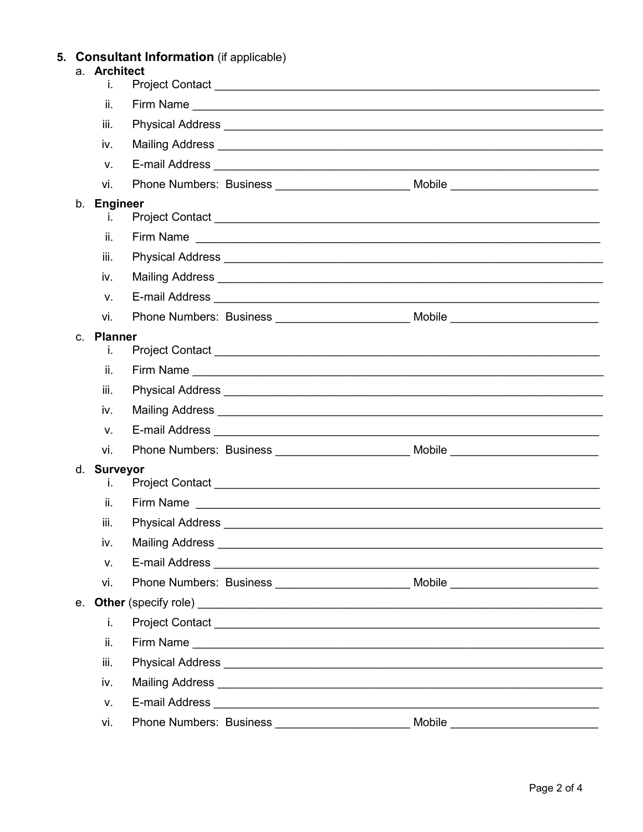# 5. Consultant Information (if applicable)<br>a. Architect

|                | i.                    |                                |                                                                                                                                                                                                                                     |                                                                                                                                                                                                                                     |
|----------------|-----------------------|--------------------------------|-------------------------------------------------------------------------------------------------------------------------------------------------------------------------------------------------------------------------------------|-------------------------------------------------------------------------------------------------------------------------------------------------------------------------------------------------------------------------------------|
|                | ii.                   |                                |                                                                                                                                                                                                                                     |                                                                                                                                                                                                                                     |
|                | iii.                  |                                |                                                                                                                                                                                                                                     |                                                                                                                                                                                                                                     |
|                | iv.                   |                                |                                                                                                                                                                                                                                     |                                                                                                                                                                                                                                     |
|                | $V_{\cdot}$           |                                |                                                                                                                                                                                                                                     |                                                                                                                                                                                                                                     |
|                | vi.                   |                                |                                                                                                                                                                                                                                     | Phone Numbers: Business __________________________________Mobile ________________                                                                                                                                                   |
| b.             | <b>Engineer</b><br>L. |                                |                                                                                                                                                                                                                                     |                                                                                                                                                                                                                                     |
|                | ii.                   |                                |                                                                                                                                                                                                                                     |                                                                                                                                                                                                                                     |
|                | iii.                  |                                |                                                                                                                                                                                                                                     |                                                                                                                                                                                                                                     |
|                | iv.                   |                                |                                                                                                                                                                                                                                     | Mailing Address <b>Mailing Address</b> Mail and Mailing Address Mail and Mail and Mail and Mail and Mail and Mail and Mail and Mail and Mail and Mail and Mail and Mail and Mail and Mail and Mail and Mail and Mail and Mail and M |
|                | $V_{\cdot}$           |                                |                                                                                                                                                                                                                                     |                                                                                                                                                                                                                                     |
|                | vi.                   |                                |                                                                                                                                                                                                                                     | Phone Numbers: Business ________________________________Mobile __________________                                                                                                                                                   |
| $C_{\rm{eff}}$ | <b>Planner</b><br>i.  |                                |                                                                                                                                                                                                                                     |                                                                                                                                                                                                                                     |
|                | ii.                   |                                |                                                                                                                                                                                                                                     |                                                                                                                                                                                                                                     |
|                | iii.                  |                                |                                                                                                                                                                                                                                     |                                                                                                                                                                                                                                     |
|                | iv.                   |                                | Mailing Address <b>contract and the Contract of Address and Science and Texas and Texas and Texas and Texas and Texas</b>                                                                                                           |                                                                                                                                                                                                                                     |
|                | V.                    |                                |                                                                                                                                                                                                                                     |                                                                                                                                                                                                                                     |
|                | vi.                   |                                |                                                                                                                                                                                                                                     | Phone Numbers: Business ______________________________Mobile ___________________                                                                                                                                                    |
|                | d. Surveyor<br>ı.     |                                |                                                                                                                                                                                                                                     |                                                                                                                                                                                                                                     |
|                | ii.                   |                                |                                                                                                                                                                                                                                     |                                                                                                                                                                                                                                     |
|                | iii.                  |                                |                                                                                                                                                                                                                                     |                                                                                                                                                                                                                                     |
|                | İV.                   | <b>Mailing Address</b>         |                                                                                                                                                                                                                                     |                                                                                                                                                                                                                                     |
|                | V.                    |                                |                                                                                                                                                                                                                                     |                                                                                                                                                                                                                                     |
|                | vi.                   |                                |                                                                                                                                                                                                                                     | Phone Numbers: Business _________________________________Mobile _________________                                                                                                                                                   |
| $e_{1}$        |                       |                                |                                                                                                                                                                                                                                     |                                                                                                                                                                                                                                     |
|                | i.                    |                                |                                                                                                                                                                                                                                     |                                                                                                                                                                                                                                     |
|                | ii.                   |                                |                                                                                                                                                                                                                                     |                                                                                                                                                                                                                                     |
|                | iii.                  |                                |                                                                                                                                                                                                                                     |                                                                                                                                                                                                                                     |
|                | iv.                   |                                | Mailing Address <b>Communication</b> Communication and Communication Communication Communication Communication Communication Communication Communication Communication Communication Communication Communication Communication Comm |                                                                                                                                                                                                                                     |
|                | v.                    |                                |                                                                                                                                                                                                                                     |                                                                                                                                                                                                                                     |
|                | vi.                   | <b>Phone Numbers: Business</b> |                                                                                                                                                                                                                                     | Mobile                                                                                                                                                                                                                              |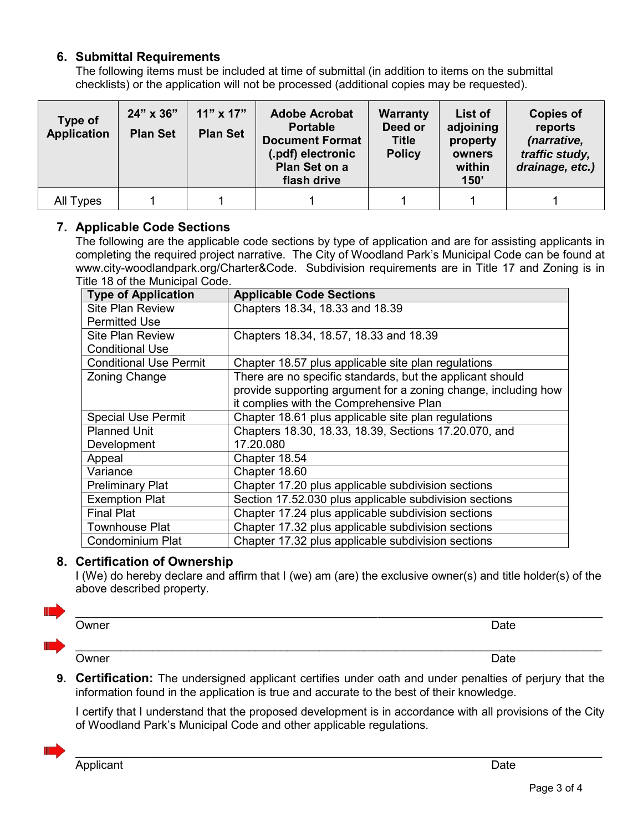## **6. Submittal Requirements**

The following items must be included at time of submittal (in addition to items on the submittal checklists) or the application will not be processed (additional copies may be requested).

| Type of<br><b>Application</b> | 24" x 36"<br><b>Plan Set</b> | $11" \times 17"$<br><b>Plan Set</b> | <b>Adobe Acrobat</b><br><b>Portable</b><br><b>Document Format</b><br>(.pdf) electronic<br>Plan Set on a<br>flash drive | <b>Warranty</b><br>Deed or<br><b>Title</b><br><b>Policy</b> | List of<br>adjoining<br>property<br>owners<br>within<br>150' | <b>Copies of</b><br>reports<br>(narrative,<br>traffic study,<br>drainage, etc.) |
|-------------------------------|------------------------------|-------------------------------------|------------------------------------------------------------------------------------------------------------------------|-------------------------------------------------------------|--------------------------------------------------------------|---------------------------------------------------------------------------------|
| All Types                     |                              |                                     |                                                                                                                        |                                                             |                                                              |                                                                                 |

#### **7. Applicable Code Sections**

The following are the applicable code sections by type of application and are for assisting applicants in completing the required project narrative. The City of Woodland Park's Municipal Code can be found at www.city-woodlandpark.org/Charter&Code. Subdivision requirements are in Title 17 and Zoning is in Title 18 of the Municipal Code.

| <b>Type of Application</b>    | <b>Applicable Code Sections</b>                                |
|-------------------------------|----------------------------------------------------------------|
| <b>Site Plan Review</b>       | Chapters 18.34, 18.33 and 18.39                                |
| <b>Permitted Use</b>          |                                                                |
| <b>Site Plan Review</b>       | Chapters 18.34, 18.57, 18.33 and 18.39                         |
| <b>Conditional Use</b>        |                                                                |
| <b>Conditional Use Permit</b> | Chapter 18.57 plus applicable site plan regulations            |
| <b>Zoning Change</b>          | There are no specific standards, but the applicant should      |
|                               | provide supporting argument for a zoning change, including how |
|                               | it complies with the Comprehensive Plan                        |
| <b>Special Use Permit</b>     | Chapter 18.61 plus applicable site plan regulations            |
| <b>Planned Unit</b>           | Chapters 18.30, 18.33, 18.39, Sections 17.20.070, and          |
| Development                   | 17.20.080                                                      |
| Appeal                        | Chapter 18.54                                                  |
| Variance                      | Chapter 18.60                                                  |
| <b>Preliminary Plat</b>       | Chapter 17.20 plus applicable subdivision sections             |
| <b>Exemption Plat</b>         | Section 17.52.030 plus applicable subdivision sections         |
| <b>Final Plat</b>             | Chapter 17.24 plus applicable subdivision sections             |
| <b>Townhouse Plat</b>         | Chapter 17.32 plus applicable subdivision sections             |
| <b>Condominium Plat</b>       | Chapter 17.32 plus applicable subdivision sections             |

## **8. Certification of Ownership**

I (We) do hereby declare and affirm that I (we) am (are) the exclusive owner(s) and title holder(s) of the above described property.

 $\_$  , and the set of the set of the set of the set of the set of the set of the set of the set of the set of the set of the set of the set of the set of the set of the set of the set of the set of the set of the set of th

 $\_$  ,  $\_$  ,  $\_$  ,  $\_$  ,  $\_$  ,  $\_$  ,  $\_$  ,  $\_$  ,  $\_$  ,  $\_$  ,  $\_$  ,  $\_$  ,  $\_$  ,  $\_$  ,  $\_$  ,  $\_$  ,  $\_$  ,  $\_$  ,  $\_$  ,  $\_$  ,  $\_$  ,  $\_$  ,  $\_$  ,  $\_$  ,  $\_$  ,  $\_$  ,  $\_$  ,  $\_$  ,  $\_$  ,  $\_$  ,  $\_$  ,  $\_$  ,  $\_$  ,  $\_$  ,  $\_$  ,  $\_$  ,  $\_$  ,



Owner **Date** 

Owner **Date** 

**9. Certification:** The undersigned applicant certifies under oath and under penalties of perjury that the information found in the application is true and accurate to the best of their knowledge.

I certify that I understand that the proposed development is in accordance with all provisions of the City of Woodland Park's Municipal Code and other applicable regulations.

 $\_$  , and the set of the set of the set of the set of the set of the set of the set of the set of the set of the set of the set of the set of the set of the set of the set of the set of the set of the set of the set of th